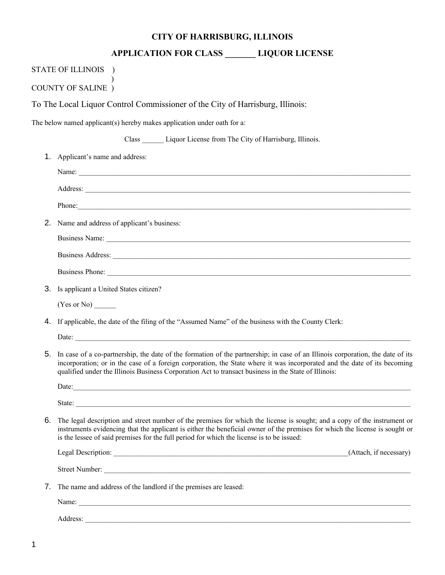## **CITY OF HARRISBURG, ILLINOIS**

## **APPLICATION FOR CLASS \_\_\_\_\_\_\_ LIQUOR LICENSE**

|    | STATE OF ILLINOIS )                                                                                                                                                                                                                                                                                                                                                |
|----|--------------------------------------------------------------------------------------------------------------------------------------------------------------------------------------------------------------------------------------------------------------------------------------------------------------------------------------------------------------------|
|    | <b>COUNTY OF SALINE</b> )                                                                                                                                                                                                                                                                                                                                          |
|    | To The Local Liquor Control Commissioner of the City of Harrisburg, Illinois:                                                                                                                                                                                                                                                                                      |
|    | The below named applicant(s) hereby makes application under oath for a:                                                                                                                                                                                                                                                                                            |
|    | Class _______ Liquor License from The City of Harrisburg, Illinois.                                                                                                                                                                                                                                                                                                |
| 1. | Applicant's name and address:                                                                                                                                                                                                                                                                                                                                      |
|    |                                                                                                                                                                                                                                                                                                                                                                    |
|    |                                                                                                                                                                                                                                                                                                                                                                    |
|    |                                                                                                                                                                                                                                                                                                                                                                    |
|    | 2. Name and address of applicant's business:                                                                                                                                                                                                                                                                                                                       |
|    |                                                                                                                                                                                                                                                                                                                                                                    |
|    |                                                                                                                                                                                                                                                                                                                                                                    |
|    |                                                                                                                                                                                                                                                                                                                                                                    |
| 3. | Is applicant a United States citizen?                                                                                                                                                                                                                                                                                                                              |
|    | $(Yes or No)$ <sub>______</sub>                                                                                                                                                                                                                                                                                                                                    |
| 4. | If applicable, the date of the filing of the "Assumed Name" of the business with the County Clerk:                                                                                                                                                                                                                                                                 |
|    |                                                                                                                                                                                                                                                                                                                                                                    |
| 5. | In case of a co-partnership, the date of the formation of the partnership; in case of an Illinois corporation, the date of its<br>incorporation; or in the case of a foreign corporation, the State where it was incorporated and the date of its becoming<br>qualified under the Illinois Business Corporation Act to transact business in the State of Illinois: |
|    | Date:<br><u> 1989 - Jan James James James James James James James James James James James James James James James James J</u>                                                                                                                                                                                                                                      |
|    |                                                                                                                                                                                                                                                                                                                                                                    |
| 6. | The legal description and street number of the premises for which the license is sought; and a copy of the instrument or<br>instruments evidencing that the applicant is either the beneficial owner of the premises for which the license is sought or<br>is the lessee of said premises for the full period for which the license is to be issued:               |
|    | (Attach, if necessary)                                                                                                                                                                                                                                                                                                                                             |
|    | Street Number:                                                                                                                                                                                                                                                                                                                                                     |
| 7. | The name and address of the landlord if the premises are leased:                                                                                                                                                                                                                                                                                                   |
|    |                                                                                                                                                                                                                                                                                                                                                                    |
|    | Address:                                                                                                                                                                                                                                                                                                                                                           |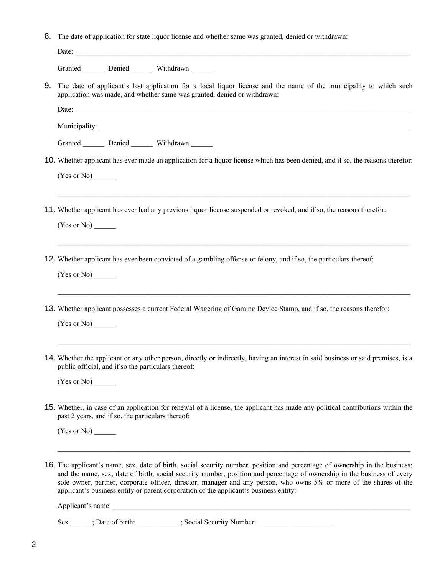8. The date of application for state liquor license and whether same was granted, denied or withdrawn:

|    | Granted ________ Denied ________ Withdrawn ______                                                                                                                                                                                                                                                                                                                                                                                                                     |
|----|-----------------------------------------------------------------------------------------------------------------------------------------------------------------------------------------------------------------------------------------------------------------------------------------------------------------------------------------------------------------------------------------------------------------------------------------------------------------------|
| 9. | The date of applicant's last application for a local liquor license and the name of the municipality to which such<br>application was made, and whether same was granted, denied or withdrawn:                                                                                                                                                                                                                                                                        |
|    |                                                                                                                                                                                                                                                                                                                                                                                                                                                                       |
|    |                                                                                                                                                                                                                                                                                                                                                                                                                                                                       |
|    | Granted Denied Withdrawn                                                                                                                                                                                                                                                                                                                                                                                                                                              |
|    | 10. Whether applicant has ever made an application for a liquor license which has been denied, and if so, the reasons therefor:                                                                                                                                                                                                                                                                                                                                       |
|    | (Yes or No)                                                                                                                                                                                                                                                                                                                                                                                                                                                           |
|    | ,我们也不能在这里的人,我们也不能在这里的人,我们也不能在这里的人,我们也不能在这里的人,我们也不能在这里的人,我们也不能在这里的人,我们也不能在这里的人,我们也<br>11. Whether applicant has ever had any previous liquor license suspended or revoked, and if so, the reasons therefor:                                                                                                                                                                                                                                                            |
|    | (Yes or No)                                                                                                                                                                                                                                                                                                                                                                                                                                                           |
|    | 12. Whether applicant has ever been convicted of a gambling offense or felony, and if so, the particulars thereof:                                                                                                                                                                                                                                                                                                                                                    |
|    | (Yes or No)                                                                                                                                                                                                                                                                                                                                                                                                                                                           |
|    | 13. Whether applicant possesses a current Federal Wagering of Gaming Device Stamp, and if so, the reasons therefor:                                                                                                                                                                                                                                                                                                                                                   |
|    | (Yes or No)                                                                                                                                                                                                                                                                                                                                                                                                                                                           |
|    | 14. Whether the applicant or any other person, directly or indirectly, having an interest in said business or said premises, is a<br>public official, and if so the particulars thereof:                                                                                                                                                                                                                                                                              |
|    | (Yes or No)                                                                                                                                                                                                                                                                                                                                                                                                                                                           |
|    | 15. Whether, in case of an application for renewal of a license, the applicant has made any political contributions within the<br>past 2 years, and if so, the particulars thereof:                                                                                                                                                                                                                                                                                   |
|    | (Yes or No)                                                                                                                                                                                                                                                                                                                                                                                                                                                           |
|    | 16. The applicant's name, sex, date of birth, social security number, position and percentage of ownership in the business;<br>and the name, sex, date of birth, social security number, position and percentage of ownership in the business of every<br>sole owner, partner, corporate officer, director, manager and any person, who owns 5% or more of the shares of the<br>applicant's business entity or parent corporation of the applicant's business entity: |
|    |                                                                                                                                                                                                                                                                                                                                                                                                                                                                       |
|    | Sex ______; Date of birth: __________; Social Security Number: _________________                                                                                                                                                                                                                                                                                                                                                                                      |